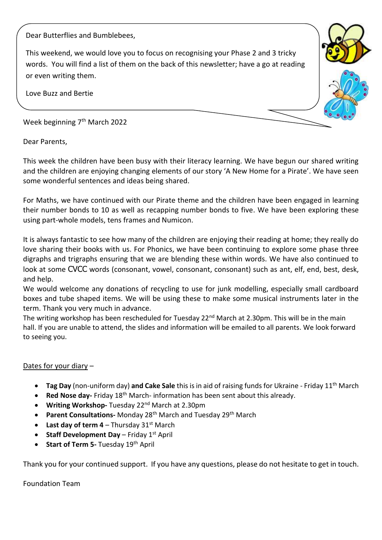Dear Butterflies and Bumblebees,

This weekend, we would love you to focus on recognising your Phase 2 and 3 tricky words. You will find a list of them on the back of this newsletter; have a go at reading or even writing them.

Love Buzz and Bertie

Week beginning 7<sup>th</sup> March 2022

Dear Parents,

This week the children have been busy with their literacy learning. We have begun our shared writing and the children are enjoying changing elements of our story 'A New Home for a Pirate'. We have seen some wonderful sentences and ideas being shared.

For Maths, we have continued with our Pirate theme and the children have been engaged in learning their number bonds to 10 as well as recapping number bonds to five. We have been exploring these using part-whole models, tens frames and Numicon.

It is always fantastic to see how many of the children are enjoying their reading at home; they really do love sharing their books with us. For Phonics, we have been continuing to explore some phase three digraphs and trigraphs ensuring that we are blending these within words. We have also continued to look at some CVCC words (consonant, vowel, consonant, consonant) such as ant, elf, end, best, desk, and help.

We would welcome any donations of recycling to use for junk modelling, especially small cardboard boxes and tube shaped items. We will be using these to make some musical instruments later in the term. Thank you very much in advance.

The writing workshop has been rescheduled for Tuesday 22<sup>nd</sup> March at 2.30pm. This will be in the main hall. If you are unable to attend, the slides and information will be emailed to all parents. We look forward to seeing you.

## Dates for your diary –

- **Tag Day** (non-uniform day) and Cake Sale this is in aid of raising funds for Ukraine Friday 11<sup>th</sup> March
- **Red Nose day-** Friday 18<sup>th</sup> March- information has been sent about this already.
- **Writing Workshop-** Tuesday 22nd March at 2.30pm
- **Parent Consultations-** Monday 28<sup>th</sup> March and Tuesday 29<sup>th</sup> March
- **Last day of term 4** Thursday  $31^{st}$  March
- **•** Staff Development Day Friday 1<sup>st</sup> April
- **Start of Term 5-** Tuesday 19<sup>th</sup> April

Thank you for your continued support. If you have any questions, please do not hesitate to get in touch.

Foundation Team